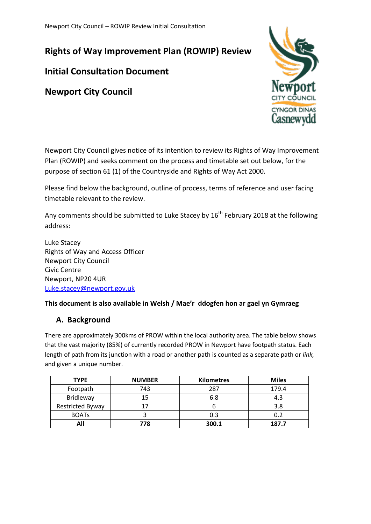Newport City Council – ROWIP Review Initial Consultation

**Rights of Way Improvement Plan (ROWIP) Review**

# **Initial Consultation Document**

**Newport City Council**



Newport City Council gives notice of its intention to review its Rights of Way Improvement Plan (ROWIP) and seeks comment on the process and timetable set out below, for the purpose of section 61 (1) of the Countryside and Rights of Way Act 2000.

Please find below the background, outline of process, terms of reference and user facing timetable relevant to the review.

Any comments should be submitted to Luke Stacey by  $16<sup>th</sup>$  February 2018 at the following address:

Luke Stacey Rights of Way and Access Officer Newport City Council Civic Centre Newport, NP20 4UR [Luke.stacey@newport.gov.uk](mailto:Luke.stacey@newport.gov.uk)

#### **This document is also available in Welsh / Mae'r ddogfen hon ar gael yn Gymraeg**

### **A. Background**

There are approximately 300kms of PROW within the local authority area. The table below shows that the vast majority (85%) of currently recorded PROW in Newport have footpath status. Each length of path from its junction with a road or another path is counted as a separate path or *link,*  and given a unique number.

| <b>TYPE</b>             | <b>NUMBER</b> | <b>Kilometres</b> | <b>Miles</b> |
|-------------------------|---------------|-------------------|--------------|
| Footpath                | 743           | 287               | 179.4        |
| Bridleway               | 15            | 6.8               | 4.3          |
| <b>Restricted Byway</b> |               |                   | 3.8          |
| <b>BOATS</b>            |               | 0.3               |              |
| All                     | 778           | 300.1             | 187.7        |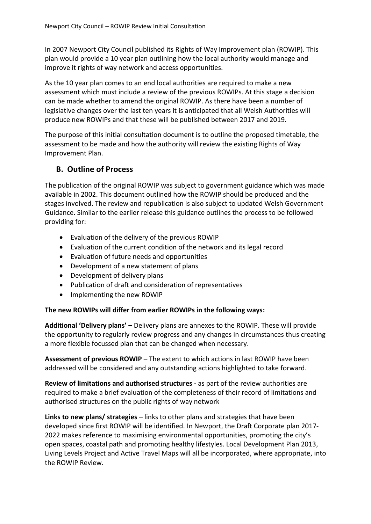In 2007 Newport City Council published its Rights of Way Improvement plan (ROWIP). This plan would provide a 10 year plan outlining how the local authority would manage and improve it rights of way network and access opportunities.

As the 10 year plan comes to an end local authorities are required to make a new assessment which must include a review of the previous ROWIPs. At this stage a decision can be made whether to amend the original ROWIP. As there have been a number of legislative changes over the last ten years it is anticipated that all Welsh Authorities will produce new ROWIPs and that these will be published between 2017 and 2019.

The purpose of this initial consultation document is to outline the proposed timetable, the assessment to be made and how the authority will review the existing Rights of Way Improvement Plan.

## **B. Outline of Process**

The publication of the original ROWIP was subject to government guidance which was made available in 2002. This document outlined how the ROWIP should be produced and the stages involved. The review and republication is also subject to updated Welsh Government Guidance. Similar to the earlier release this guidance outlines the process to be followed providing for:

- Evaluation of the delivery of the previous ROWIP
- Evaluation of the current condition of the network and its legal record
- Evaluation of future needs and opportunities
- Development of a new statement of plans
- Development of delivery plans
- Publication of draft and consideration of representatives
- Implementing the new ROWIP

#### **The new ROWIPs will differ from earlier ROWIPs in the following ways:**

**Additional 'Delivery plans' –** Delivery plans are annexes to the ROWIP. These will provide the opportunity to regularly review progress and any changes in circumstances thus creating a more flexible focussed plan that can be changed when necessary.

**Assessment of previous ROWIP –** The extent to which actions in last ROWIP have been addressed will be considered and any outstanding actions highlighted to take forward.

**Review of limitations and authorised structures -** as part of the review authorities are required to make a brief evaluation of the completeness of their record of limitations and authorised structures on the public rights of way network

**Links to new plans/ strategies –** links to other plans and strategies that have been developed since first ROWIP will be identified. In Newport, the Draft Corporate plan 2017- 2022 makes reference to maximising environmental opportunities, promoting the city's open spaces, coastal path and promoting healthy lifestyles. Local Development Plan 2013, Living Levels Project and Active Travel Maps will all be incorporated, where appropriate, into the ROWIP Review.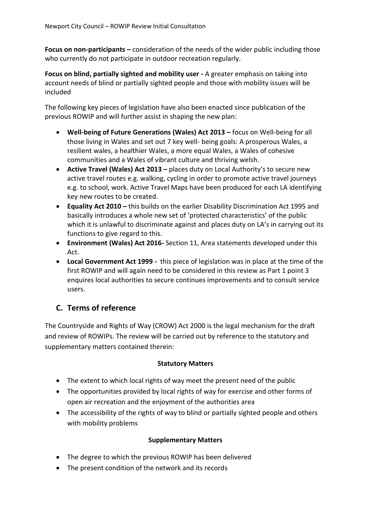**Focus on non-participants –** consideration of the needs of the wider public including those who currently do not participate in outdoor recreation regularly.

**Focus on blind, partially sighted and mobility user -** A greater emphasis on taking into account needs of blind or partially sighted people and those with mobility issues will be included

The following key pieces of legislation have also been enacted since publication of the previous ROWIP and will further assist in shaping the new plan:

- **Well-being of Future Generations (Wales) Act 2013 –** focus on Well-being for all those living in Wales and set out 7 key well- being goals: A prosperous Wales, a resilient wales, a healthier Wales, a more equal Wales, a Wales of cohesive communities and a Wales of vibrant culture and thriving welsh.
- **Active Travel (Wales) Act 2013 –** places duty on Local Authority's to secure new active travel routes e.g. walking, cycling in order to promote active travel journeys e.g. to school, work. Active Travel Maps have been produced for each LA identifying key new routes to be created.
- **Equality Act 2010 –** this builds on the earlier Disability Discrimination Act 1995 and basically introduces a whole new set of 'protected characteristics' of the public which it is unlawful to discriminate against and places duty on LA's in carrying out its functions to give regard to this.
- **Environment (Wales) Act 2016-** Section 11, Area statements developed under this Act.
- **Local Government Act 1999 -** this piece of legislation was in place at the time of the first ROWIP and will again need to be considered in this review as Part 1 point 3 enquires local authorities to secure continues improvements and to consult service users.

# **C. Terms of reference**

The Countryside and Rights of Way (CROW) Act 2000 is the legal mechanism for the draft and review of ROWIPs. The review will be carried out by reference to the statutory and supplementary matters contained therein:

#### **Statutory Matters**

- The extent to which local rights of way meet the present need of the public
- The opportunities provided by local rights of way for exercise and other forms of open air recreation and the enjoyment of the authorities area
- The accessibility of the rights of way to blind or partially sighted people and others with mobility problems

#### **Supplementary Matters**

- The degree to which the previous ROWIP has been delivered
- The present condition of the network and its records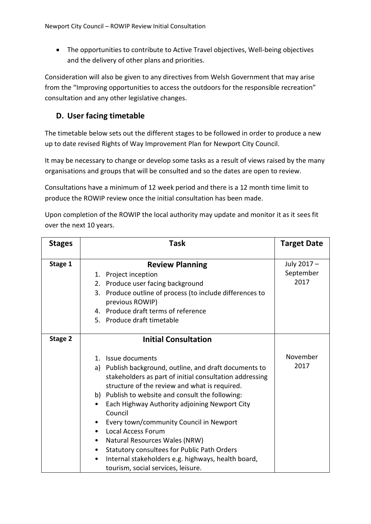The opportunities to contribute to Active Travel objectives, Well-being objectives and the delivery of other plans and priorities.

Consideration will also be given to any directives from Welsh Government that may arise from the "Improving opportunities to access the outdoors for the responsible recreation" consultation and any other legislative changes.

### **D. User facing timetable**

The timetable below sets out the different stages to be followed in order to produce a new up to date revised Rights of Way Improvement Plan for Newport City Council.

It may be necessary to change or develop some tasks as a result of views raised by the many organisations and groups that will be consulted and so the dates are open to review.

Consultations have a minimum of 12 week period and there is a 12 month time limit to produce the ROWIP review once the initial consultation has been made.

Upon completion of the ROWIP the local authority may update and monitor it as it sees fit over the next 10 years.

| <b>Stages</b> | <b>Task</b>                                                                                                                                                                                                                                                                                                                                                                                                                                                                                                                                                                                        | <b>Target Date</b>               |
|---------------|----------------------------------------------------------------------------------------------------------------------------------------------------------------------------------------------------------------------------------------------------------------------------------------------------------------------------------------------------------------------------------------------------------------------------------------------------------------------------------------------------------------------------------------------------------------------------------------------------|----------------------------------|
| Stage 1       | <b>Review Planning</b><br>Project inception<br>1.<br>2. Produce user facing background<br>3. Produce outline of process (to include differences to<br>previous ROWIP)<br>4. Produce draft terms of reference<br>5. Produce draft timetable                                                                                                                                                                                                                                                                                                                                                         | July 2017 -<br>September<br>2017 |
| Stage 2       | <b>Initial Consultation</b>                                                                                                                                                                                                                                                                                                                                                                                                                                                                                                                                                                        |                                  |
|               | Issue documents<br>$1_{\cdot}$<br>a) Publish background, outline, and draft documents to<br>stakeholders as part of initial consultation addressing<br>structure of the review and what is required.<br>b) Publish to website and consult the following:<br>Each Highway Authority adjoining Newport City<br>Council<br>Every town/community Council in Newport<br><b>Local Access Forum</b><br>Natural Resources Wales (NRW)<br>Statutory consultees for Public Path Orders<br>$\bullet$<br>Internal stakeholders e.g. highways, health board,<br>$\bullet$<br>tourism, social services, leisure. | November<br>2017                 |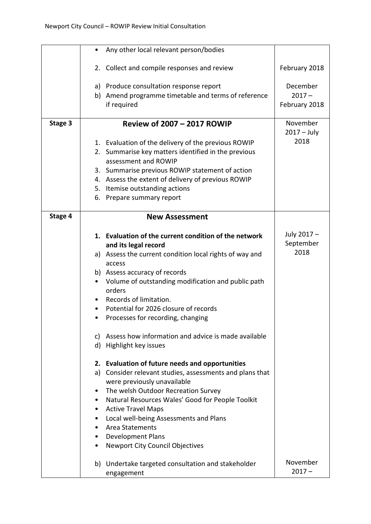|         | Any other local relevant person/bodies<br>$\bullet$                                     |                           |
|---------|-----------------------------------------------------------------------------------------|---------------------------|
|         | 2. Collect and compile responses and review                                             | February 2018             |
|         | a) Produce consultation response report                                                 | December                  |
|         | b) Amend programme timetable and terms of reference                                     | $2017 -$                  |
|         | if required                                                                             | February 2018             |
| Stage 3 | <b>Review of 2007 - 2017 ROWIP</b>                                                      | November<br>$2017 - July$ |
|         | 1. Evaluation of the delivery of the previous ROWIP                                     | 2018                      |
|         | 2. Summarise key matters identified in the previous                                     |                           |
|         | assessment and ROWIP                                                                    |                           |
|         | 3. Summarise previous ROWIP statement of action                                         |                           |
|         | 4. Assess the extent of delivery of previous ROWIP<br>5. Itemise outstanding actions    |                           |
|         | 6. Prepare summary report                                                               |                           |
|         |                                                                                         |                           |
| Stage 4 | <b>New Assessment</b>                                                                   |                           |
|         |                                                                                         | July 2017 -               |
|         | 1. Evaluation of the current condition of the network<br>and its legal record           | September                 |
|         | a) Assess the current condition local rights of way and                                 | 2018                      |
|         | access                                                                                  |                           |
|         | b) Assess accuracy of records                                                           |                           |
|         | Volume of outstanding modification and public path<br>$\bullet$                         |                           |
|         | orders                                                                                  |                           |
|         | Records of limitation.                                                                  |                           |
|         | Potential for 2026 closure of records                                                   |                           |
|         | Processes for recording, changing<br>٠                                                  |                           |
|         | c) Assess how information and advice is made available                                  |                           |
|         | d) Highlight key issues                                                                 |                           |
|         | 2. Evaluation of future needs and opportunities                                         |                           |
|         | a) Consider relevant studies, assessments and plans that                                |                           |
|         | were previously unavailable                                                             |                           |
|         | The welsh Outdoor Recreation Survey<br>Natural Resources Wales' Good for People Toolkit |                           |
|         | <b>Active Travel Maps</b>                                                               |                           |
|         | Local well-being Assessments and Plans                                                  |                           |
|         | <b>Area Statements</b>                                                                  |                           |
|         | <b>Development Plans</b>                                                                |                           |
|         | <b>Newport City Council Objectives</b><br>٠                                             |                           |
|         | b) Undertake targeted consultation and stakeholder                                      | November                  |
|         | engagement                                                                              | $2017 -$                  |